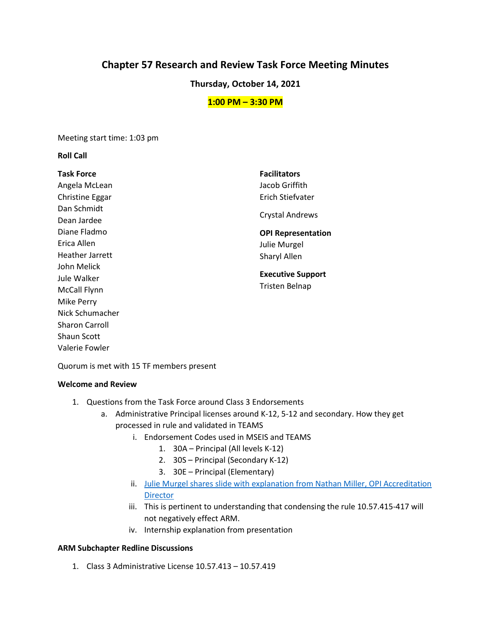# **Chapter 57 Research and Review Task Force Meeting Minutes**

### **Thursday, October 14, 2021**

### **1:00 PM – 3:30 PM**

Meeting start time: 1:03 pm

### **Roll Call**

| <b>Task Force</b>      | <b>Facilitators</b>       |
|------------------------|---------------------------|
| Angela McLean          | Jacob Griffith            |
| Christine Eggar        | Erich Stiefvater          |
| Dan Schmidt            |                           |
| Dean Jardee            | <b>Crystal Andrews</b>    |
| Diane Fladmo           | <b>OPI Representation</b> |
| Erica Allen            | Julie Murgel              |
| <b>Heather Jarrett</b> | Sharyl Allen              |
| John Melick            |                           |
| Jule Walker            | <b>Executive Support</b>  |
| McCall Flynn           | <b>Tristen Belnap</b>     |
| Mike Perry             |                           |
| Nick Schumacher        |                           |
| <b>Sharon Carroll</b>  |                           |

Quorum is met with 15 TF members present

#### **Welcome and Review**

Shaun Scott Valerie Fowler

- 1. Questions from the Task Force around Class 3 Endorsements
	- a. Administrative Principal licenses around K-12, 5-12 and secondary. How they get processed in rule and validated in TEAMS
		- i. Endorsement Codes used in MSEIS and TEAMS
			- 1. 30A Principal (All levels K-12)
			- 2. 30S Principal (Secondary K-12)
			- 3. 30E Principal (Elementary)
		- ii. [Julie Murgel shares slide with explanation from Nathan Miller, OPI Accreditation](https://docs.google.com/presentation/d/1OO4-lg4gzyt2vaDUmq76_0S9e1kf2Wog/edit?usp=sharing&ouid=103980653118195900680&rtpof=true&sd=true)  **[Director](https://docs.google.com/presentation/d/1OO4-lg4gzyt2vaDUmq76_0S9e1kf2Wog/edit?usp=sharing&ouid=103980653118195900680&rtpof=true&sd=true)**
		- iii. This is pertinent to understanding that condensing the rule 10.57.415-417 will not negatively effect ARM.
		- iv. Internship explanation from presentation

### **ARM Subchapter Redline Discussions**

1. Class 3 Administrative License 10.57.413 – 10.57.419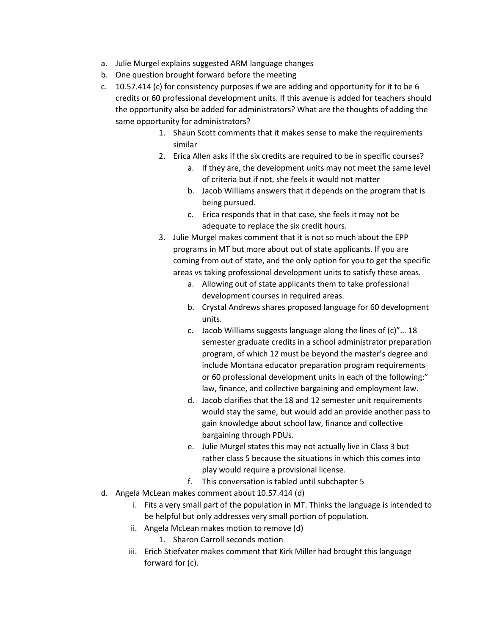- a. Julie Murgel explains suggested ARM language changes
- b. One question brought forward before the meeting
- c. 10.57.414 (c) for consistency purposes if we are adding and opportunity for it to be 6 credits or 60 professional development units. If this avenue is added for teachers should the opportunity also be added for administrators? What are the thoughts of adding the same opportunity for administrators?
	- 1. Shaun Scott comments that it makes sense to make the requirements similar
	- 2. Erica Allen asks if the six credits are required to be in specific courses?
		- a. If they are, the development units may not meet the same level of criteria but if not, she feels it would not matter
			- b. Jacob Williams answers that it depends on the program that is being pursued.
			- c. Erica responds that in that case, she feels it may not be adequate to replace the six credit hours.
	- 3. Julie Murgel makes comment that it is not so much about the EPP programs in MT but more about out of state applicants. If you are coming from out of state, and the only option for you to get the specific areas vs taking professional development units to satisfy these areas.
		- a. Allowing out of state applicants them to take professional development courses in required areas.
		- b. Crystal Andrews shares proposed language for 60 development units.
		- c. Jacob Williams suggests language along the lines of (c)"… 18 semester graduate credits in a school administrator preparation program, of which 12 must be beyond the master's degree and include Montana educator preparation program requirements or 60 professional development units in each of the following:" law, finance, and collective bargaining and employment law.
		- d. Jacob clarifies that the 18 and 12 semester unit requirements would stay the same, but would add an provide another pass to gain knowledge about school law, finance and collective bargaining through PDUs.
		- e. Julie Murgel states this may not actually live in Class 3 but rather class 5 because the situations in which this comes into play would require a provisional license.
		- f. This conversation is tabled until subchapter 5
- d. Angela McLean makes comment about 10.57.414 (d)
	- i. Fits a very small part of the population in MT. Thinks the language is intended to be helpful but only addresses very small portion of population.
	- ii. Angela McLean makes motion to remove (d)
		- 1. Sharon Carroll seconds motion
	- iii. Erich Stiefvater makes comment that Kirk Miller had brought this language forward for (c).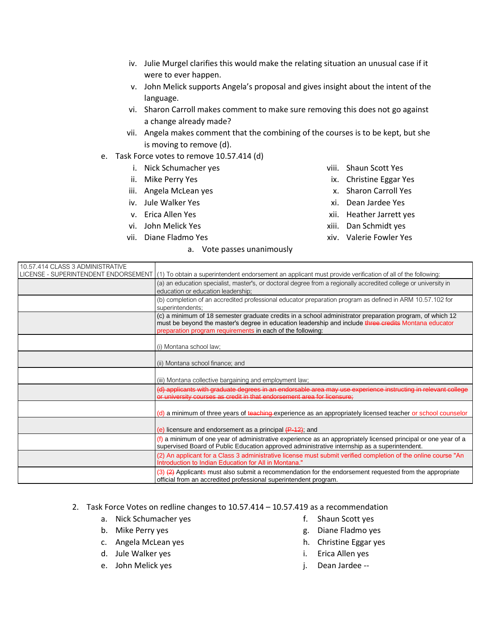- iv. Julie Murgel clarifies this would make the relating situation an unusual case if it were to ever happen.
- v. John Melick supports Angela's proposal and gives insight about the intent of the language.
- vi. Sharon Carroll makes comment to make sure removing this does not go against a change already made?
- vii. Angela makes comment that the combining of the courses is to be kept, but she is moving to remove (d).
- e. Task Force votes to remove 10.57.414 (d)
	- i. Nick Schumacher yes
	- ii. Mike Perry Yes
	- iii. Angela McLean yes
	- iv. Jule Walker Yes
	- v. Erica Allen Yes
	- vi. John Melick Yes
	- vii. Diane Fladmo Yes

#### a. Vote passes unanimously

- viii. Shaun Scott Yes
- ix. Christine Eggar Yes
- x. Sharon Carroll Yes
- xi. Dean Jardee Yes
- xii. Heather Jarrett yes
- xiii. Dan Schmidt yes
- xiv. Valerie Fowler Yes

| 10.57.414 CLASS 3 ADMINISTRATIVE |                                                                                                                                                                                                                                                                                 |
|----------------------------------|---------------------------------------------------------------------------------------------------------------------------------------------------------------------------------------------------------------------------------------------------------------------------------|
|                                  | LICENSE - SUPERINTENDENT ENDORSEMENT (1) To obtain a superintendent endorsement an applicant must provide verification of all of the following:                                                                                                                                 |
|                                  | (a) an education specialist, master's, or doctoral degree from a regionally accredited college or university in                                                                                                                                                                 |
|                                  | education or education leadership;                                                                                                                                                                                                                                              |
|                                  | (b) completion of an accredited professional educator preparation program as defined in ARM 10.57.102 for<br>superintendents;                                                                                                                                                   |
|                                  | (c) a minimum of 18 semester graduate credits in a school administrator preparation program, of which 12<br>must be beyond the master's degree in education leadership and include three credits Montana educator<br>preparation program requirements in each of the following: |
|                                  | (i) Montana school law;                                                                                                                                                                                                                                                         |
|                                  | (ii) Montana school finance; and                                                                                                                                                                                                                                                |
|                                  | (iii) Montana collective bargaining and employment law;                                                                                                                                                                                                                         |
|                                  | (d) applicants with graduate degrees in an endorsable area may use experience instructing in relevant college<br>or university courses as credit in that endorsement area for licensure;                                                                                        |
|                                  | (d) a minimum of three years of teaching experience as an appropriately licensed teacher or school counselor                                                                                                                                                                    |
|                                  | (e) licensure and endorsement as a principal $(F-12)$ ; and                                                                                                                                                                                                                     |
|                                  | (f) a minimum of one year of administrative experience as an appropriately licensed principal or one year of a<br>supervised Board of Public Education approved administrative internship as a superintendent.                                                                  |
|                                  | (2) An applicant for a Class 3 administrative license must submit verified completion of the online course "An<br>Introduction to Indian Education for All in Montana."                                                                                                         |
|                                  | $(3)$ $(2)$ Applicants must also submit a recommendation for the endorsement requested from the appropriate<br>official from an accredited professional superintendent program.                                                                                                 |

### 2. Task Force Votes on redline changes to 10.57.414 – 10.57.419 as a recommendation

- a. Nick Schumacher yes
- b. Mike Perry yes
- c. Angela McLean yes
- d. Jule Walker yes
- e. John Melick yes
- f. Shaun Scott yes
- g. Diane Fladmo yes
- h. Christine Eggar yes
- i. Erica Allen yes
- j. Dean Jardee --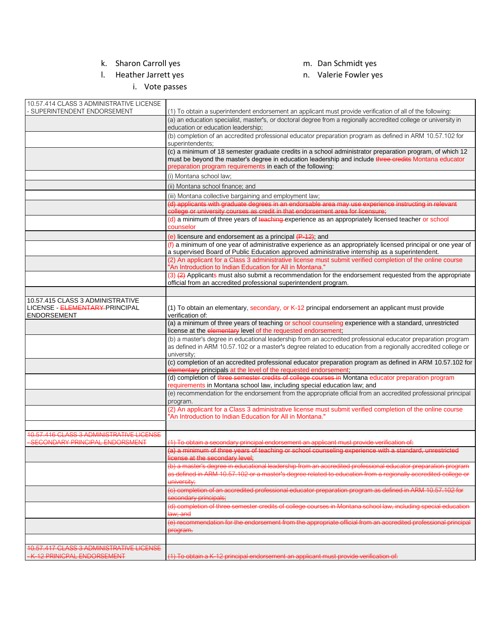# k. Sharon Carroll yes

# l. Heather Jarrett yes

i. Vote passes

- m. Dan Schmidt yes
- n. Valerie Fowler yes

| 10.57.414 CLASS 3 ADMINISTRATIVE LICENSE<br>- SUPERINTENDENT ENDORSEMENT                 | (1) To obtain a superintendent endorsement an applicant must provide verification of all of the following:                                                                                                                                                                      |
|------------------------------------------------------------------------------------------|---------------------------------------------------------------------------------------------------------------------------------------------------------------------------------------------------------------------------------------------------------------------------------|
|                                                                                          | (a) an education specialist, master's, or doctoral degree from a regionally accredited college or university in                                                                                                                                                                 |
|                                                                                          | education or education leadership;                                                                                                                                                                                                                                              |
|                                                                                          | (b) completion of an accredited professional educator preparation program as defined in ARM 10.57.102 for<br>superintendents;                                                                                                                                                   |
|                                                                                          | (c) a minimum of 18 semester graduate credits in a school administrator preparation program, of which 12<br>must be beyond the master's degree in education leadership and include three credits Montana educator<br>preparation program requirements in each of the following: |
|                                                                                          | (i) Montana school law;                                                                                                                                                                                                                                                         |
|                                                                                          | (ii) Montana school finance; and                                                                                                                                                                                                                                                |
|                                                                                          | (iii) Montana collective bargaining and employment law;                                                                                                                                                                                                                         |
|                                                                                          | (d) applicants with graduate degrees in an endorsable area may use experience instructing in relevant<br>college or university courses as credit in that endorsement area for licensure;                                                                                        |
|                                                                                          | (d) a minimum of three years of teaching experience as an appropriately licensed teacher or school<br>counselor                                                                                                                                                                 |
|                                                                                          | (e) licensure and endorsement as a principal $(F-12)$ ; and                                                                                                                                                                                                                     |
|                                                                                          | (f) a minimum of one year of administrative experience as an appropriately licensed principal or one year of<br>a supervised Board of Public Education approved administrative internship as a superintendent.                                                                  |
|                                                                                          | (2) An applicant for a Class 3 administrative license must submit verified completion of the online course<br>"An Introduction to Indian Education for All in Montana."                                                                                                         |
|                                                                                          | (3) $(2)$ Applicants must also submit a recommendation for the endorsement requested from the appropriate<br>official from an accredited professional superintendent program.                                                                                                   |
|                                                                                          |                                                                                                                                                                                                                                                                                 |
| 10.57.415 CLASS 3 ADMINISTRATIVE<br>LICENSE - ELEMENTARY-PRINCIPAL<br><b>ENDORSEMENT</b> | (1) To obtain an elementary, secondary, or K-12 principal endorsement an applicant must provide<br>verification of:                                                                                                                                                             |
|                                                                                          | (a) a minimum of three years of teaching or school counseling experience with a standard, unrestricted<br>license at the elementary level of the requested endorsement;                                                                                                         |
|                                                                                          | (b) a master's degree in educational leadership from an accredited professional educator preparation program<br>as defined in ARM 10.57.102 or a master's degree related to education from a regionally accredited college or<br>university;                                    |
|                                                                                          | (c) completion of an accredited professional educator preparation program as defined in ARM 10.57.102 for<br>elementary principals at the level of the requested endorsement;                                                                                                   |
|                                                                                          | (d) completion of three semester credits of college courses in Montana educator preparation program<br>requirements in Montana school law, including special education law; and                                                                                                 |
|                                                                                          | (e) recommendation for the endorsement from the appropriate official from an accredited professional principal<br>program.                                                                                                                                                      |
|                                                                                          | (2) An applicant for a Class 3 administrative license must submit verified completion of the online course<br>"An Introduction to Indian Education for All in Montana."                                                                                                         |
|                                                                                          |                                                                                                                                                                                                                                                                                 |
| 10.57.416 CLASS 3 ADMINISTRATIVE LICENSE<br>- SECONDARY PRINCIPAL ENDORSMENT             | (1) To obtain a secondary principal endorsement an applicant must provide verification of:                                                                                                                                                                                      |
|                                                                                          | (a) a minimum of three years of teaching or school counseling experience with a standard, unrestricted<br>license at the secondary level:                                                                                                                                       |
|                                                                                          | (b) a master's degree in educational leadership from an accredited professional educator preparation program<br>as defined in ARM 10.57.102 or a master's degree related to education from a regionally accredited college or                                                   |
|                                                                                          | university;                                                                                                                                                                                                                                                                     |
|                                                                                          | (c) completion of an accredited professional educator preparation program as defined in ARM 10.57.102 for<br>secondary principals;                                                                                                                                              |
|                                                                                          | (d) completion of three semester credits of college courses in Montana school law, including special education<br>law; and                                                                                                                                                      |
|                                                                                          | (e) recommendation for the endorsement from the appropriate official from an accredited professional principal                                                                                                                                                                  |
|                                                                                          | program.                                                                                                                                                                                                                                                                        |
| 10.57.417 CLASS 3 ADMINISTRATIVE LICENSE                                                 |                                                                                                                                                                                                                                                                                 |
| -K-12 PRINICPAL ENDORSEMENT                                                              | (1) To obtain a K-12 principal endorsement an applicant must provide verification of:                                                                                                                                                                                           |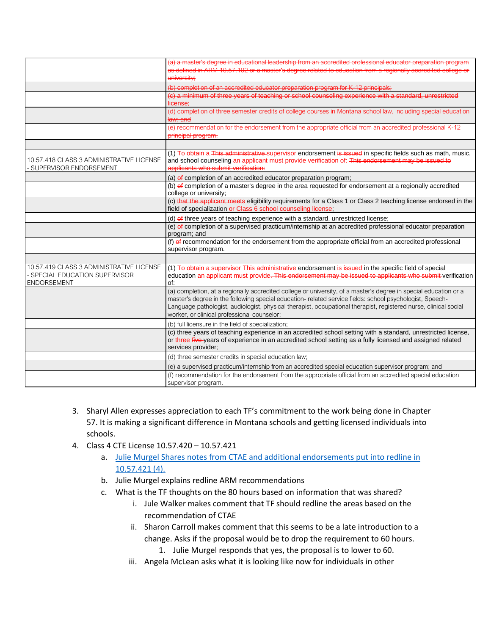|                                                                                                       | (a) a master's degree in educational leadership from an accredited professional educator preparation program<br>as defined in ARM 10.57.102 or a master's degree related to education from a regionally accredited college or<br>university;                                                                                                                                                    |
|-------------------------------------------------------------------------------------------------------|-------------------------------------------------------------------------------------------------------------------------------------------------------------------------------------------------------------------------------------------------------------------------------------------------------------------------------------------------------------------------------------------------|
|                                                                                                       | (b) completion of an accredited educator preparation program for K-12 principals;                                                                                                                                                                                                                                                                                                               |
|                                                                                                       | (c) a minimum of three years of teaching or school counseling experience with a standard, unrestricted<br>license;                                                                                                                                                                                                                                                                              |
|                                                                                                       | (d) completion of three semester credits of college courses in Montana school law, including special education<br>law; and                                                                                                                                                                                                                                                                      |
|                                                                                                       | (e) recommendation for the endorsement from the appropriate official from an accredited professional K-12<br>principal program.                                                                                                                                                                                                                                                                 |
|                                                                                                       |                                                                                                                                                                                                                                                                                                                                                                                                 |
| 10.57.418 CLASS 3 ADMINISTRATIVE LICENSE<br>SUPERVISOR ENDORSEMENT                                    | (1) To obtain a This administrative supervisor endorsement is issued in specific fields such as math, music,<br>and school counseling an applicant must provide verification of: This endorsement may be issued to<br>applicants who submit verification:                                                                                                                                       |
|                                                                                                       | (a) of completion of an accredited educator preparation program;                                                                                                                                                                                                                                                                                                                                |
|                                                                                                       | (b) of completion of a master's degree in the area requested for endorsement at a regionally accredited<br>college or university;                                                                                                                                                                                                                                                               |
|                                                                                                       | (c) that the applicant meets eligibility requirements for a Class 1 or Class 2 teaching license endorsed in the<br>field of specialization or Class 6 school counseling license;                                                                                                                                                                                                                |
|                                                                                                       | (d) of three years of teaching experience with a standard, unrestricted license;                                                                                                                                                                                                                                                                                                                |
|                                                                                                       | (e) of completion of a supervised practicum/internship at an accredited professional educator preparation<br>program; and                                                                                                                                                                                                                                                                       |
|                                                                                                       | (f) of recommendation for the endorsement from the appropriate official from an accredited professional<br>supervisor program.                                                                                                                                                                                                                                                                  |
|                                                                                                       |                                                                                                                                                                                                                                                                                                                                                                                                 |
| 10.57.419 CLASS 3 ADMINISTRATIVE LICENSE<br><b>SPECIAL EDUCATION SUPERVISOR</b><br><b>ENDORSEMENT</b> | (1) To obtain a supervisor This administrative endorsement is issued in the specific field of special<br>education an applicant must provide. This endorsement may be issued to applicants who submit verification<br>of:                                                                                                                                                                       |
|                                                                                                       | (a) completion, at a regionally accredited college or university, of a master's degree in special education or a<br>master's degree in the following special education- related service fields: school psychologist, Speech-<br>Language pathologist, audiologist, physical therapist, occupational therapist, registered nurse, clinical social<br>worker, or clinical professional counselor; |
|                                                                                                       | (b) full licensure in the field of specialization;                                                                                                                                                                                                                                                                                                                                              |
|                                                                                                       | (c) three years of teaching experience in an accredited school setting with a standard, unrestricted license,<br>or three five-years of experience in an accredited school setting as a fully licensed and assigned related<br>services provider;                                                                                                                                               |
|                                                                                                       | (d) three semester credits in special education law;                                                                                                                                                                                                                                                                                                                                            |
|                                                                                                       | (e) a supervised practicum/internship from an accredited special education supervisor program; and                                                                                                                                                                                                                                                                                              |
|                                                                                                       | (f) recommendation for the endorsement from the appropriate official from an accredited special education<br>supervisor program.                                                                                                                                                                                                                                                                |

- 3. Sharyl Allen expresses appreciation to each TF's commitment to the work being done in Chapter 57. It is making a significant difference in Montana schools and getting licensed individuals into schools.
- 4. Class 4 CTE License 10.57.420 10.57.421
	- a. Julie Murgel Shares notes from CTAE and additional endorsements put into redline in [10.57.421 \(4\).](https://docs.google.com/presentation/d/1OO4-lg4gzyt2vaDUmq76_0S9e1kf2Wog/edit?usp=sharing&ouid=103980653118195900680&rtpof=true&sd=true)
	- b. Julie Murgel explains redline ARM recommendations
	- c. What is the TF thoughts on the 80 hours based on information that was shared?
		- i. Jule Walker makes comment that TF should redline the areas based on the recommendation of CTAE
		- ii. Sharon Carroll makes comment that this seems to be a late introduction to a change. Asks if the proposal would be to drop the requirement to 60 hours.
			- 1. Julie Murgel responds that yes, the proposal is to lower to 60.
		- iii. Angela McLean asks what it is looking like now for individuals in other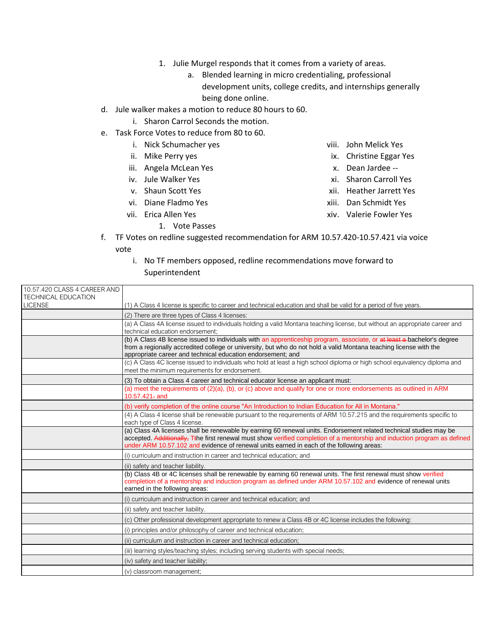- 1. Julie Murgel responds that it comes from a variety of areas.
	- a. Blended learning in micro credentialing, professional development units, college credits, and internships generally being done online.
- d. Jule walker makes a motion to reduce 80 hours to 60.
	- i. Sharon Carrol Seconds the motion.
- e. Task Force Votes to reduce from 80 to 60.
	- i. Nick Schumacher yes
	- ii. Mike Perry yes
	- iii. Angela McLean Yes
	- iv. Jule Walker Yes
	- v. Shaun Scott Yes
	- vi. Diane Fladmo Yes
	- vii. Erica Allen Yes
		- 1. Vote Passes
- viii. John Melick Yes
- ix. Christine Eggar Yes
- x. Dean Jardee --
- xi. Sharon Carroll Yes
- xii. Heather Jarrett Yes
- xiii. Dan Schmidt Yes
- xiv. Valerie Fowler Yes
- f. TF Votes on redline suggested recommendation for ARM 10.57.420-10.57.421 via voice vote
	- i. No TF members opposed, redline recommendations move forward to Superintendent

| 10.57.420 CLASS 4 CAREER AND |                                                                                                                                                                                                                                                                                                                                             |
|------------------------------|---------------------------------------------------------------------------------------------------------------------------------------------------------------------------------------------------------------------------------------------------------------------------------------------------------------------------------------------|
| <b>TECHNICAL EDUCATION</b>   |                                                                                                                                                                                                                                                                                                                                             |
| <b>LICENSE</b>               | (1) A Class 4 license is specific to career and technical education and shall be valid for a period of five years.                                                                                                                                                                                                                          |
|                              | (2) There are three types of Class 4 licenses:                                                                                                                                                                                                                                                                                              |
|                              | (a) A Class 4A license issued to individuals holding a valid Montana teaching license, but without an appropriate career and                                                                                                                                                                                                                |
|                              | technical education endorsement:                                                                                                                                                                                                                                                                                                            |
|                              | (b) A Class 4B license issued to individuals with an apprenticeship program, associate, or at least a bachelor's degree<br>from a regionally accredited college or university, but who do not hold a valid Montana teaching license with the<br>appropriate career and technical education endorsement: and                                 |
|                              | (c) A Class 4C license issued to individuals who hold at least a high school diploma or high school equivalency diploma and<br>meet the minimum requirements for endorsement.                                                                                                                                                               |
|                              | (3) To obtain a Class 4 career and technical educator license an applicant must:                                                                                                                                                                                                                                                            |
|                              | (a) meet the requirements of $(2)(a)$ , (b), or (c) above and qualify for one or more endorsements as outlined in ARM<br>$10.57.421$ <sub>r</sub> and                                                                                                                                                                                       |
|                              | (b) verify completion of the online course "An Introduction to Indian Education for All in Montana."                                                                                                                                                                                                                                        |
|                              | (4) A Class 4 license shall be renewable pursuant to the requirements of ARM 10.57.215 and the requirements specific to<br>each type of Class 4 license.                                                                                                                                                                                    |
|                              | (a) Class 4A licenses shall be renewable by earning 60 renewal units. Endorsement related technical studies may be<br>accepted. Additionally, Tthe first renewal must show verified completion of a mentorship and induction program as defined<br>under ARM 10.57.102 and evidence of renewal units earned in each of the following areas: |
|                              | (i) curriculum and instruction in career and technical education; and                                                                                                                                                                                                                                                                       |
|                              | (ii) safety and teacher liability.                                                                                                                                                                                                                                                                                                          |
|                              | (b) Class 4B or 4C licenses shall be renewable by earning 60 renewal units. The first renewal must show verified<br>completion of a mentorship and induction program as defined under ARM 10.57.102 and evidence of renewal units<br>earned in the following areas:                                                                         |
|                              | (i) curriculum and instruction in career and technical education; and                                                                                                                                                                                                                                                                       |
|                              | (ii) safety and teacher liability.                                                                                                                                                                                                                                                                                                          |
|                              | (c) Other professional development appropriate to renew a Class 4B or 4C license includes the following:                                                                                                                                                                                                                                    |
|                              | (i) principles and/or philosophy of career and technical education;                                                                                                                                                                                                                                                                         |
|                              | (ii) curriculum and instruction in career and technical education:                                                                                                                                                                                                                                                                          |
|                              | (iii) learning styles/teaching styles; including serving students with special needs;                                                                                                                                                                                                                                                       |
|                              | (iv) safety and teacher liability;                                                                                                                                                                                                                                                                                                          |
|                              | (v) classroom management;                                                                                                                                                                                                                                                                                                                   |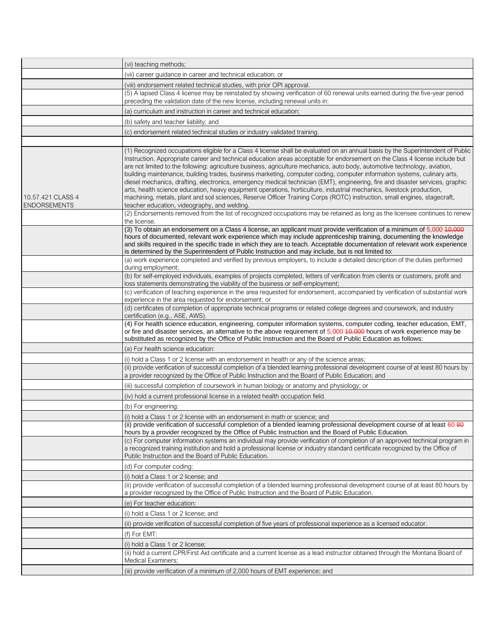|                                          | (vi) teaching methods;                                                                                                                                                                                                                                                                                                                                                                                                                                                                                                                                                                                                                                                                                                                                                                                                                                                                                                                                                                                                                                                                         |
|------------------------------------------|------------------------------------------------------------------------------------------------------------------------------------------------------------------------------------------------------------------------------------------------------------------------------------------------------------------------------------------------------------------------------------------------------------------------------------------------------------------------------------------------------------------------------------------------------------------------------------------------------------------------------------------------------------------------------------------------------------------------------------------------------------------------------------------------------------------------------------------------------------------------------------------------------------------------------------------------------------------------------------------------------------------------------------------------------------------------------------------------|
|                                          | (vii) career guidance in career and technical education; or                                                                                                                                                                                                                                                                                                                                                                                                                                                                                                                                                                                                                                                                                                                                                                                                                                                                                                                                                                                                                                    |
|                                          | (viii) endorsement related technical studies, with prior OPI approval.                                                                                                                                                                                                                                                                                                                                                                                                                                                                                                                                                                                                                                                                                                                                                                                                                                                                                                                                                                                                                         |
|                                          | (5) A lapsed Class 4 license may be reinstated by showing verification of 60 renewal units earned during the five-year period<br>preceding the validation date of the new license, including renewal units in:                                                                                                                                                                                                                                                                                                                                                                                                                                                                                                                                                                                                                                                                                                                                                                                                                                                                                 |
|                                          | (a) curriculum and instruction in career and technical education;                                                                                                                                                                                                                                                                                                                                                                                                                                                                                                                                                                                                                                                                                                                                                                                                                                                                                                                                                                                                                              |
|                                          | (b) safety and teacher liability; and                                                                                                                                                                                                                                                                                                                                                                                                                                                                                                                                                                                                                                                                                                                                                                                                                                                                                                                                                                                                                                                          |
|                                          | (c) endorsement related technical studies or industry validated training.                                                                                                                                                                                                                                                                                                                                                                                                                                                                                                                                                                                                                                                                                                                                                                                                                                                                                                                                                                                                                      |
|                                          |                                                                                                                                                                                                                                                                                                                                                                                                                                                                                                                                                                                                                                                                                                                                                                                                                                                                                                                                                                                                                                                                                                |
| 10.57.421 CLASS 4<br><b>ENDORSEMENTS</b> | (1) Recognized occupations eligible for a Class 4 license shall be evaluated on an annual basis by the Superintendent of Public<br>Instruction. Appropriate career and technical education areas acceptable for endorsement on the Class 4 license include but<br>are not limited to the following: agriculture business, agriculture mechanics, auto body, automotive technology, aviation,<br>building maintenance, building trades, business marketing, computer coding, computer information systems, culinary arts,<br>diesel mechanics, drafting, electronics, emergency medical technician (EMT), engineering, fire and disaster services, graphic<br>arts, health science education, heavy equipment operations, horticulture, industrial mechanics, livestock production,<br>machining, metals, plant and soil sciences, Reserve Officer Training Corps (ROTC) instruction, small engines, stagecraft,<br>teacher education, videography, and welding.<br>(2) Endorsements removed from the list of recognized occupations may be retained as long as the licensee continues to renew |
|                                          | the license.                                                                                                                                                                                                                                                                                                                                                                                                                                                                                                                                                                                                                                                                                                                                                                                                                                                                                                                                                                                                                                                                                   |
|                                          | (3) To obtain an endorsement on a Class 4 license, an applicant must provide verification of a minimum of 5,000 40,000<br>hours of documented, relevant work experience which may include apprenticeship training, documenting the knowledge<br>and skills required in the specific trade in which they are to teach. Acceptable documentation of relevant work experience<br>is determined by the Superintendent of Public Instruction and may include, but is not limited to:                                                                                                                                                                                                                                                                                                                                                                                                                                                                                                                                                                                                                |
|                                          | (a) work experience completed and verified by previous employers, to include a detailed description of the duties performed<br>during employment;                                                                                                                                                                                                                                                                                                                                                                                                                                                                                                                                                                                                                                                                                                                                                                                                                                                                                                                                              |
|                                          | (b) for self-employed individuals, examples of projects completed, letters of verification from clients or customers, profit and<br>loss statements demonstrating the viability of the business or self-employment;                                                                                                                                                                                                                                                                                                                                                                                                                                                                                                                                                                                                                                                                                                                                                                                                                                                                            |
|                                          | (c) verification of teaching experience in the area requested for endorsement, accompanied by verification of substantial work<br>experience in the area requested for endorsement; or                                                                                                                                                                                                                                                                                                                                                                                                                                                                                                                                                                                                                                                                                                                                                                                                                                                                                                         |
|                                          | (d) certificates of completion of appropriate technical programs or related college degrees and coursework, and industry<br>certification (e.g., ASE, AWS).                                                                                                                                                                                                                                                                                                                                                                                                                                                                                                                                                                                                                                                                                                                                                                                                                                                                                                                                    |
|                                          | (4) For health science education, engineering, computer information systems, computer coding, teacher education, EMT,<br>or fire and disaster services, an alternative to the above requirement of 5,000 40,000 hours of work experience may be<br>substituted as recognized by the Office of Public Instruction and the Board of Public Education as follows:                                                                                                                                                                                                                                                                                                                                                                                                                                                                                                                                                                                                                                                                                                                                 |
|                                          | (a) For health science education:                                                                                                                                                                                                                                                                                                                                                                                                                                                                                                                                                                                                                                                                                                                                                                                                                                                                                                                                                                                                                                                              |
|                                          | (i) hold a Class 1 or 2 license with an endorsement in health or any of the science areas;                                                                                                                                                                                                                                                                                                                                                                                                                                                                                                                                                                                                                                                                                                                                                                                                                                                                                                                                                                                                     |
|                                          | (ii) provide verification of successful completion of a blended learning professional development course of at least 80 hours by<br>a provider recognized by the Office of Public Instruction and the Board of Public Education; and                                                                                                                                                                                                                                                                                                                                                                                                                                                                                                                                                                                                                                                                                                                                                                                                                                                           |
|                                          | (iii) successful completion of coursework in human biology or anatomy and physiology; or                                                                                                                                                                                                                                                                                                                                                                                                                                                                                                                                                                                                                                                                                                                                                                                                                                                                                                                                                                                                       |
|                                          | (iv) hold a current professional license in a related health occupation field.                                                                                                                                                                                                                                                                                                                                                                                                                                                                                                                                                                                                                                                                                                                                                                                                                                                                                                                                                                                                                 |
|                                          | (b) For engineering:                                                                                                                                                                                                                                                                                                                                                                                                                                                                                                                                                                                                                                                                                                                                                                                                                                                                                                                                                                                                                                                                           |
|                                          | (i) hold a Class 1 or 2 license with an endorsement in math or science; and                                                                                                                                                                                                                                                                                                                                                                                                                                                                                                                                                                                                                                                                                                                                                                                                                                                                                                                                                                                                                    |
|                                          | (ii) provide verification of successful completion of a blended learning professional development course of at least 60 80<br>hours by a provider recognized by the Office of Public Instruction and the Board of Public Education.                                                                                                                                                                                                                                                                                                                                                                                                                                                                                                                                                                                                                                                                                                                                                                                                                                                            |
|                                          | (c) For computer information systems an individual may provide verification of completion of an approved technical program in<br>a recognized training institution and hold a professional license or industry standard certificate recognized by the Office of<br>Public Instruction and the Board of Public Education.                                                                                                                                                                                                                                                                                                                                                                                                                                                                                                                                                                                                                                                                                                                                                                       |
|                                          | (d) For computer coding:                                                                                                                                                                                                                                                                                                                                                                                                                                                                                                                                                                                                                                                                                                                                                                                                                                                                                                                                                                                                                                                                       |
|                                          | (i) hold a Class 1 or 2 license; and                                                                                                                                                                                                                                                                                                                                                                                                                                                                                                                                                                                                                                                                                                                                                                                                                                                                                                                                                                                                                                                           |
|                                          | (ii) provide verification of successful completion of a blended learning professional development course of at least 80 hours by<br>a provider recognized by the Office of Public Instruction and the Board of Public Education.                                                                                                                                                                                                                                                                                                                                                                                                                                                                                                                                                                                                                                                                                                                                                                                                                                                               |
|                                          | (e) For teacher education:                                                                                                                                                                                                                                                                                                                                                                                                                                                                                                                                                                                                                                                                                                                                                                                                                                                                                                                                                                                                                                                                     |
|                                          | (i) hold a Class 1 or 2 license; and                                                                                                                                                                                                                                                                                                                                                                                                                                                                                                                                                                                                                                                                                                                                                                                                                                                                                                                                                                                                                                                           |
|                                          | (ii) provide verification of successful completion of five years of professional experience as a licensed educator.                                                                                                                                                                                                                                                                                                                                                                                                                                                                                                                                                                                                                                                                                                                                                                                                                                                                                                                                                                            |
|                                          | (f) For EMT:                                                                                                                                                                                                                                                                                                                                                                                                                                                                                                                                                                                                                                                                                                                                                                                                                                                                                                                                                                                                                                                                                   |
|                                          | (i) hold a Class 1 or 2 license;                                                                                                                                                                                                                                                                                                                                                                                                                                                                                                                                                                                                                                                                                                                                                                                                                                                                                                                                                                                                                                                               |
|                                          | (ii) hold a current CPR/First Aid certificate and a current license as a lead instructor obtained through the Montana Board of<br>Medical Examiners;                                                                                                                                                                                                                                                                                                                                                                                                                                                                                                                                                                                                                                                                                                                                                                                                                                                                                                                                           |
|                                          | (iii) provide verification of a minimum of 2,000 hours of EMT experience; and                                                                                                                                                                                                                                                                                                                                                                                                                                                                                                                                                                                                                                                                                                                                                                                                                                                                                                                                                                                                                  |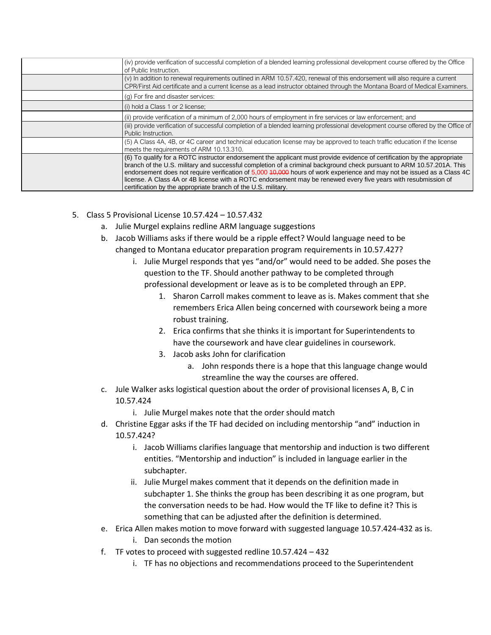| (iv) provide verification of successful completion of a blended learning professional development course offered by the Office<br>of Public Instruction.                                                                                                                                                                                                                                                                                                                                                                                                       |
|----------------------------------------------------------------------------------------------------------------------------------------------------------------------------------------------------------------------------------------------------------------------------------------------------------------------------------------------------------------------------------------------------------------------------------------------------------------------------------------------------------------------------------------------------------------|
| $(v)$ In addition to renewal requirements outlined in ARM 10.57.420, renewal of this endorsement will also require a current<br>CPR/First Aid certificate and a current license as a lead instructor obtained through the Montana Board of Medical Examiners.                                                                                                                                                                                                                                                                                                  |
| (g) For fire and disaster services:                                                                                                                                                                                                                                                                                                                                                                                                                                                                                                                            |
| (i) hold a Class 1 or 2 license;                                                                                                                                                                                                                                                                                                                                                                                                                                                                                                                               |
| (ii) provide verification of a minimum of 2,000 hours of employment in fire services or law enforcement; and                                                                                                                                                                                                                                                                                                                                                                                                                                                   |
| (iii) provide verification of successful completion of a blended learning professional development course offered by the Office of<br>Public Instruction.                                                                                                                                                                                                                                                                                                                                                                                                      |
| (5) A Class 4A, 4B, or 4C career and technical education license may be approved to teach traffic education if the license<br>meets the requirements of ARM 10.13.310.                                                                                                                                                                                                                                                                                                                                                                                         |
| (6) To qualify for a ROTC instructor endorsement the applicant must provide evidence of certification by the appropriate<br>branch of the U.S. military and successful completion of a criminal background check pursuant to ARM 10.57.201A. This<br>endorsement does not require verification of 5,000 40,000 hours of work experience and may not be issued as a Class 4C<br>license. A Class 4A or 4B license with a ROTC endorsement may be renewed every five years with resubmission of<br>certification by the appropriate branch of the U.S. military. |

- 5. Class 5 Provisional License 10.57.424 10.57.432
	- a. Julie Murgel explains redline ARM language suggestions
	- b. Jacob Williams asks if there would be a ripple effect? Would language need to be changed to Montana educator preparation program requirements in 10.57.427?
		- i. Julie Murgel responds that yes "and/or" would need to be added. She poses the question to the TF. Should another pathway to be completed through professional development or leave as is to be completed through an EPP.
			- 1. Sharon Carroll makes comment to leave as is. Makes comment that she remembers Erica Allen being concerned with coursework being a more robust training.
			- 2. Erica confirms that she thinks it is important for Superintendents to have the coursework and have clear guidelines in coursework.
			- 3. Jacob asks John for clarification
				- a. John responds there is a hope that this language change would streamline the way the courses are offered.
	- c. Jule Walker asks logistical question about the order of provisional licenses A, B, C in 10.57.424
		- i. Julie Murgel makes note that the order should match
	- d. Christine Eggar asks if the TF had decided on including mentorship "and" induction in 10.57.424?
		- i. Jacob Williams clarifies language that mentorship and induction is two different entities. "Mentorship and induction" is included in language earlier in the subchapter.
		- ii. Julie Murgel makes comment that it depends on the definition made in subchapter 1. She thinks the group has been describing it as one program, but the conversation needs to be had. How would the TF like to define it? This is something that can be adjusted after the definition is determined.
	- e. Erica Allen makes motion to move forward with suggested language 10.57.424-432 as is. i. Dan seconds the motion
	- f. TF votes to proceed with suggested redline 10.57.424 432
		- i. TF has no objections and recommendations proceed to the Superintendent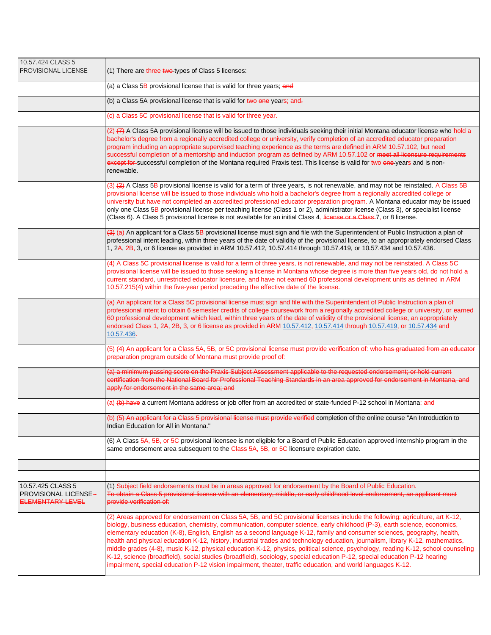| 10.57.424 CLASS 5<br>PROVISIONAL LICENSE                      | (1) There are three two types of Class 5 licenses:                                                                                                                                                                                                                                                                                                                                                                                                                                                                                                                                                                                                                                                                                                                                                                                                                                                          |
|---------------------------------------------------------------|-------------------------------------------------------------------------------------------------------------------------------------------------------------------------------------------------------------------------------------------------------------------------------------------------------------------------------------------------------------------------------------------------------------------------------------------------------------------------------------------------------------------------------------------------------------------------------------------------------------------------------------------------------------------------------------------------------------------------------------------------------------------------------------------------------------------------------------------------------------------------------------------------------------|
|                                                               | (a) a Class 5B provisional license that is valid for three years; and                                                                                                                                                                                                                                                                                                                                                                                                                                                                                                                                                                                                                                                                                                                                                                                                                                       |
|                                                               | (b) a Class 5A provisional license that is valid for two one years; and-                                                                                                                                                                                                                                                                                                                                                                                                                                                                                                                                                                                                                                                                                                                                                                                                                                    |
|                                                               | (c) a Class 5C provisional license that is valid for three year.                                                                                                                                                                                                                                                                                                                                                                                                                                                                                                                                                                                                                                                                                                                                                                                                                                            |
|                                                               | (2) (7) A Class 5A provisional license will be issued to those individuals seeking their initial Montana educator license who hold a<br>bachelor's degree from a regionally accredited college or university, verify completion of an accredited educator preparation<br>program including an appropriate supervised teaching experience as the terms are defined in ARM 10.57.102, but need<br>successful completion of a mentorship and induction program as defined by ARM 10.57.102 or meet all licensure requirements<br>except for successful completion of the Montana required Praxis test. This license is valid for two one-years and is non-<br>renewable.                                                                                                                                                                                                                                       |
|                                                               | (3) (2) A Class 5B provisional license is valid for a term of three years, is not renewable, and may not be reinstated. A Class 5B<br>provisional license will be issued to those individuals who hold a bachelor's degree from a regionally accredited college or<br>university but have not completed an accredited professional educator preparation program. A Montana educator may be issued<br>only one Class 5B provisional license per teaching license (Class 1 or 2), administrator license (Class 3), or specialist license<br>(Class 6). A Class 5 provisional license is not available for an initial Class 4, license or a Class-7, or 8 license.                                                                                                                                                                                                                                             |
|                                                               | $(3)$ (a) An applicant for a Class 5B provisional license must sign and file with the Superintendent of Public Instruction a plan of<br>professional intent leading, within three years of the date of validity of the provisional license, to an appropriately endorsed Class<br>1, 2A, 2B, 3, or 6 license as provided in ARM 10.57.412, 10.57.414 through 10.57.419, or 10.57.434 and 10.57.436.                                                                                                                                                                                                                                                                                                                                                                                                                                                                                                         |
|                                                               | (4) A Class 5C provisional license is valid for a term of three years, is not renewable, and may not be reinstated. A Class 5C<br>provisional license will be issued to those seeking a license in Montana whose degree is more than five years old, do not hold a<br>current standard, unrestricted educator licensure, and have not earned 60 professional development units as defined in ARM<br>10.57.215(4) within the five-year period preceding the effective date of the license.                                                                                                                                                                                                                                                                                                                                                                                                                   |
|                                                               | (a) An applicant for a Class 5C provisional license must sign and file with the Superintendent of Public Instruction a plan of<br>professional intent to obtain 6 semester credits of college coursework from a regionally accredited college or university, or earned<br>60 professional development which lead, within three years of the date of validity of the provisional license, an appropriately<br>endorsed Class 1, 2A, 2B, 3, or 6 license as provided in ARM 10.57.412, 10.57.414 through 10.57.419, or 10.57.434 and<br>10.57.436.                                                                                                                                                                                                                                                                                                                                                            |
|                                                               | (5) (4) An applicant for a Class 5A, 5B, or 5C provisional license must provide verification of: who has graduated from an educator<br>preparation program outside of Montana must provide proof of:                                                                                                                                                                                                                                                                                                                                                                                                                                                                                                                                                                                                                                                                                                        |
|                                                               | (a) a minimum passing score on the Praxis Subject Assessment applicable to the requested endorsement; or hold current<br>certification from the National Board for Professional Teaching Standards in an area approved for endorsement in Montana, and<br>apply for endorsement in the same area; and                                                                                                                                                                                                                                                                                                                                                                                                                                                                                                                                                                                                       |
|                                                               | (a) (b) have a current Montana address or job offer from an accredited or state-funded P-12 school in Montana; and                                                                                                                                                                                                                                                                                                                                                                                                                                                                                                                                                                                                                                                                                                                                                                                          |
|                                                               | (b) <del>(b) An applicant for a Class 5 provisional license must provide verified</del> completion of the online course "An Introduction to<br>Indian Education for All in Montana."                                                                                                                                                                                                                                                                                                                                                                                                                                                                                                                                                                                                                                                                                                                        |
|                                                               | (6) A Class 5A, 5B, or 5C provisional licensee is not eligible for a Board of Public Education approved internship program in the<br>same endorsement area subsequent to the Class 5A, 5B, or 5C licensure expiration date.                                                                                                                                                                                                                                                                                                                                                                                                                                                                                                                                                                                                                                                                                 |
|                                                               |                                                                                                                                                                                                                                                                                                                                                                                                                                                                                                                                                                                                                                                                                                                                                                                                                                                                                                             |
| 10.57.425 CLASS 5<br>PROVISIONAL LICENSE-<br>ELEMENTARY LEVEL | (1) Subject field endorsements must be in areas approved for endorsement by the Board of Public Education.<br>To obtain a Class 5 provisional license with an elementary, middle, or early childhood level endorsement, an applicant must<br>provide verification of:                                                                                                                                                                                                                                                                                                                                                                                                                                                                                                                                                                                                                                       |
|                                                               | (2) Areas approved for endorsement on Class 5A, 5B, and 5C provisional licenses include the following: agriculture, art K-12,<br>biology, business education, chemistry, communication, computer science, early childhood (P-3), earth science, economics,<br>elementary education (K-8), English, English as a second language K-12, family and consumer sciences, geography, health,<br>health and physical education K-12, history, industrial trades and technology education, journalism, library K-12, mathematics,<br>middle grades (4-8), music K-12, physical education K-12, physics, political science, psychology, reading K-12, school counseling<br>K-12, science (broadfield), social studies (broadfield), sociology, special education P-12, special education P-12 hearing<br>impairment, special education P-12 vision impairment, theater, traffic education, and world languages K-12. |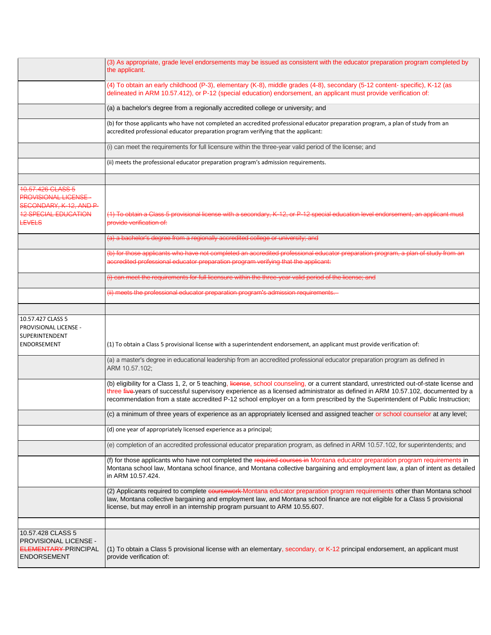|                                                                                          | (3) As appropriate, grade level endorsements may be issued as consistent with the educator preparation program completed by<br>the applicant.                                                                                                                                                                                                                                                                |
|------------------------------------------------------------------------------------------|--------------------------------------------------------------------------------------------------------------------------------------------------------------------------------------------------------------------------------------------------------------------------------------------------------------------------------------------------------------------------------------------------------------|
|                                                                                          | (4) To obtain an early childhood (P-3), elementary (K-8), middle grades (4-8), secondary (5-12 content- specific), K-12 (as<br>delineated in ARM 10.57.412), or P-12 (special education) endorsement, an applicant must provide verification of:                                                                                                                                                             |
|                                                                                          | (a) a bachelor's degree from a regionally accredited college or university; and                                                                                                                                                                                                                                                                                                                              |
|                                                                                          | (b) for those applicants who have not completed an accredited professional educator preparation program, a plan of study from an<br>accredited professional educator preparation program verifying that the applicant:                                                                                                                                                                                       |
|                                                                                          | (i) can meet the requirements for full licensure within the three-year valid period of the license; and                                                                                                                                                                                                                                                                                                      |
|                                                                                          | (ii) meets the professional educator preparation program's admission requirements.                                                                                                                                                                                                                                                                                                                           |
| 10.57.426 CLASS 5                                                                        |                                                                                                                                                                                                                                                                                                                                                                                                              |
| <b>PROVISIONAL LICENSE-</b><br>SECONDARY, K-12, AND P-                                   |                                                                                                                                                                                                                                                                                                                                                                                                              |
| <b>12 SPECIAL EDUCATION</b><br><b>LEVELS</b>                                             | (1) To obtain a Class 5 provisional license with a secondary, K-12, or P-12 special education level endorsement, an applicant must<br>provide verification of:                                                                                                                                                                                                                                               |
|                                                                                          | (a) a bachelor's degree from a regionally accredited college or university; and                                                                                                                                                                                                                                                                                                                              |
|                                                                                          | (b) for those applicants who have not completed an accredited professional educator preparation program, a plan of study from an<br>accredited professional educator preparation program verifying that the applicant:                                                                                                                                                                                       |
|                                                                                          | (i) can meet the requirements for full licensure within the three-year valid period of the license; and                                                                                                                                                                                                                                                                                                      |
|                                                                                          | (ii) meets the professional educator preparation program's admission requirements.                                                                                                                                                                                                                                                                                                                           |
|                                                                                          |                                                                                                                                                                                                                                                                                                                                                                                                              |
| 10.57.427 CLASS 5<br>PROVISIONAL LICENSE -<br>SUPERINTENDENT<br><b>ENDORSEMENT</b>       | (1) To obtain a Class 5 provisional license with a superintendent endorsement, an applicant must provide verification of:                                                                                                                                                                                                                                                                                    |
|                                                                                          | (a) a master's degree in educational leadership from an accredited professional educator preparation program as defined in<br>ARM 10.57.102;                                                                                                                                                                                                                                                                 |
|                                                                                          | (b) eligibility for a Class 1, 2, or 5 teaching, license, school counseling, or a current standard, unrestricted out-of-state license and<br>three five years of successful supervisory experience as a licensed administrator as defined in ARM 10.57.102, documented by a<br>recommendation from a state accredited P-12 school employer on a form prescribed by the Superintendent of Public Instruction; |
|                                                                                          | (c) a minimum of three years of experience as an appropriately licensed and assigned teacher or school counselor at any level;                                                                                                                                                                                                                                                                               |
|                                                                                          | (d) one year of appropriately licensed experience as a principal;                                                                                                                                                                                                                                                                                                                                            |
|                                                                                          | (e) completion of an accredited professional educator preparation program, as defined in ARM 10.57.102, for superintendents; and                                                                                                                                                                                                                                                                             |
|                                                                                          | (f) for those applicants who have not completed the required courses in Montana educator preparation program requirements in<br>Montana school law, Montana school finance, and Montana collective bargaining and employment law, a plan of intent as detailed<br>in ARM 10.57.424.                                                                                                                          |
|                                                                                          | (2) Applicants required to complete coursework-Montana educator preparation program requirements other than Montana school<br>law, Montana collective bargaining and employment law, and Montana school finance are not eligible for a Class 5 provisional<br>license, but may enroll in an internship program pursuant to ARM 10.55.607.                                                                    |
|                                                                                          |                                                                                                                                                                                                                                                                                                                                                                                                              |
| 10.57.428 CLASS 5<br>PROVISIONAL LICENSE -<br>ELEMENTARY-PRINCIPAL<br><b>ENDORSEMENT</b> | (1) To obtain a Class 5 provisional license with an elementary, secondary, or K-12 principal endorsement, an applicant must<br>provide verification of:                                                                                                                                                                                                                                                      |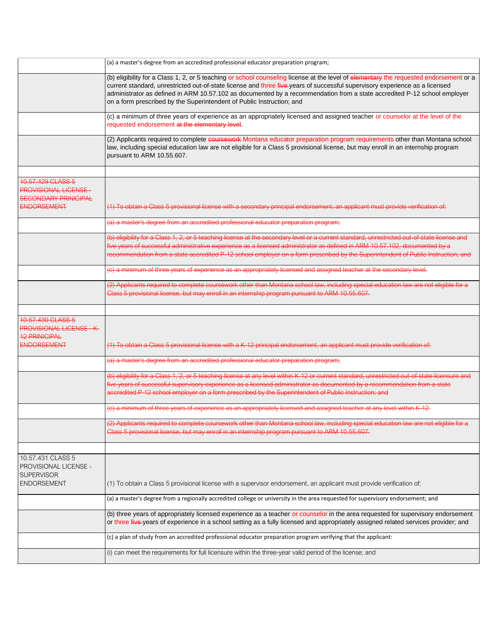|                                                                                                        | (a) a master's degree from an accredited professional educator preparation program;                                                                                                                                                                                                                                                                                                                                                                                        |
|--------------------------------------------------------------------------------------------------------|----------------------------------------------------------------------------------------------------------------------------------------------------------------------------------------------------------------------------------------------------------------------------------------------------------------------------------------------------------------------------------------------------------------------------------------------------------------------------|
|                                                                                                        | (b) eligibility for a Class 1, 2, or 5 teaching or school counseling license at the level of elementary the requested endorsement or a<br>current standard, unrestricted out-of-state license and three five-years of successful supervisory experience as a licensed<br>administrator as defined in ARM 10.57.102 as documented by a recommendation from a state accredited P-12 school employer<br>on a form prescribed by the Superintendent of Public Instruction; and |
|                                                                                                        | (c) a minimum of three years of experience as an appropriately licensed and assigned teacher or counselor at the level of the<br>requested endorsement at the elementary level.                                                                                                                                                                                                                                                                                            |
|                                                                                                        | (2) Applicants required to complete coursework Montana educator preparation program requirements other than Montana school<br>law, including special education law are not eligible for a Class 5 provisional license, but may enroll in an internship program<br>pursuant to ARM 10.55.607.                                                                                                                                                                               |
|                                                                                                        |                                                                                                                                                                                                                                                                                                                                                                                                                                                                            |
| 10.57.429 CLASS 5<br><b>PROVISIONAL LICENSE -</b><br><b>SECONDARY PRINICIPAL</b><br><b>ENDORSEMENT</b> | (1) To obtain a Class 5 provisional license with a secondary principal endorsement, an applicant must provide verification of:                                                                                                                                                                                                                                                                                                                                             |
|                                                                                                        | (a) a master's degree from an accredited professional educator preparation program;                                                                                                                                                                                                                                                                                                                                                                                        |
|                                                                                                        | (b) eligibility for a Class 1, 2, or 5 teaching license at the secondary level or a current standard, unrestricted out-of-state license and<br>five years of successful administrative experience as a licensed administrator as defined in ARM 10.57.102, documented by a<br>recommendation from a state accredited P-12 school employer on a form prescribed by the Superintendent of Public Instruction; and                                                            |
|                                                                                                        | (c) a minimum of three years of experience as an appropriately licensed and assigned teacher at the secondary level.                                                                                                                                                                                                                                                                                                                                                       |
|                                                                                                        | (2) Applicants required to complete coursework other than Montana school law, including special education law are not eligible for a<br>Class 5 provisional license, but may enroll in an internship program pursuant to ARM 10.55.607.                                                                                                                                                                                                                                    |
|                                                                                                        |                                                                                                                                                                                                                                                                                                                                                                                                                                                                            |
| 10.57.430 CLASS 5<br><b>PROVISIONAL LICENSE - K-</b><br><b>12 PRINICIPAL</b>                           |                                                                                                                                                                                                                                                                                                                                                                                                                                                                            |
| <b>ENDORSEMENT</b>                                                                                     | (1) To obtain a Class 5 provisional license with a K-12 principal endorsement, an applicant must provide verification of:                                                                                                                                                                                                                                                                                                                                                  |
|                                                                                                        | (a) a master's degree from an accredited professional educator preparation program;                                                                                                                                                                                                                                                                                                                                                                                        |
|                                                                                                        | (b) eligibility for a Class 1, 2, or 5 teaching license at any level within K-12 or current standard, unrestricted out-of-state licensure and<br>five years of successful supervisory experience as a licensed administrator as documented by a recommendation from a state<br>accredited P-12 school employer on a form prescribed by the Superintendent of Public Instruction; and                                                                                       |
|                                                                                                        | (c) a minimum of three years of experience as an appropriately licensed and assigned teacher at any level within K-12.                                                                                                                                                                                                                                                                                                                                                     |
|                                                                                                        | (2) Applicants required to complete coursework other than Montana school law, including special education law are not eligible for a<br>Class 5 provisional license, but may enroll in an internship program pursuant to ARM 10.55.607.                                                                                                                                                                                                                                    |
|                                                                                                        |                                                                                                                                                                                                                                                                                                                                                                                                                                                                            |
| 10.57.431 CLASS 5<br>PROVISIONAL LICENSE -<br><b>SUPERVISOR</b><br><b>ENDORSEMENT</b>                  | (1) To obtain a Class 5 provisional license with a supervisor endorsement, an applicant must provide verification of:                                                                                                                                                                                                                                                                                                                                                      |
|                                                                                                        |                                                                                                                                                                                                                                                                                                                                                                                                                                                                            |
|                                                                                                        | (a) a master's degree from a regionally accredited college or university in the area requested for supervisory endorsement; and                                                                                                                                                                                                                                                                                                                                            |
|                                                                                                        | (b) three years of appropriately licensed experience as a teacher or counselor in the area requested for supervisory endorsement<br>or three five years of experience in a school setting as a fully licensed and appropriately assigned related services provider; and                                                                                                                                                                                                    |
|                                                                                                        | (c) a plan of study from an accredited professional educator preparation program verifying that the applicant:                                                                                                                                                                                                                                                                                                                                                             |
|                                                                                                        | (i) can meet the requirements for full licensure within the three-year valid period of the license; and                                                                                                                                                                                                                                                                                                                                                                    |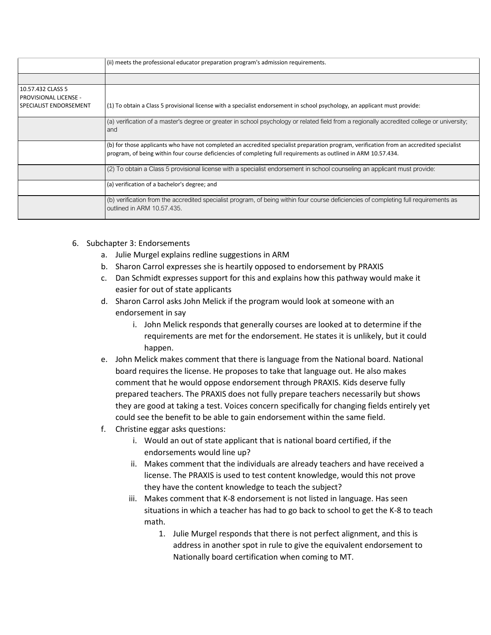|                                                                             | (ii) meets the professional educator preparation program's admission requirements.                                                                                                                                                                          |
|-----------------------------------------------------------------------------|-------------------------------------------------------------------------------------------------------------------------------------------------------------------------------------------------------------------------------------------------------------|
|                                                                             |                                                                                                                                                                                                                                                             |
| 10.57.432 CLASS 5<br><b>PROVISIONAL LICENSE -</b><br>SPECIALIST ENDORSEMENT | (1) To obtain a Class 5 provisional license with a specialist endorsement in school psychology, an applicant must provide:                                                                                                                                  |
|                                                                             | (a) verification of a master's degree or greater in school psychology or related field from a regionally accredited college or university;<br>and                                                                                                           |
|                                                                             | (b) for those applicants who have not completed an accredited specialist preparation program, verification from an accredited specialist<br>program, of being within four course deficiencies of completing full requirements as outlined in ARM 10.57.434. |
|                                                                             | (2) To obtain a Class 5 provisional license with a specialist endorsement in school counseling an applicant must provide:                                                                                                                                   |
|                                                                             | (a) verification of a bachelor's degree; and                                                                                                                                                                                                                |
|                                                                             | (b) verification from the accredited specialist program, of being within four course deficiencies of completing full requirements as<br>outlined in ARM 10.57.435.                                                                                          |

- 6. Subchapter 3: Endorsements
	- a. Julie Murgel explains redline suggestions in ARM
	- b. Sharon Carrol expresses she is heartily opposed to endorsement by PRAXIS
	- c. Dan Schmidt expresses support for this and explains how this pathway would make it easier for out of state applicants
	- d. Sharon Carrol asks John Melick if the program would look at someone with an endorsement in say
		- i. John Melick responds that generally courses are looked at to determine if the requirements are met for the endorsement. He states it is unlikely, but it could happen.
	- e. John Melick makes comment that there is language from the National board. National board requires the license. He proposes to take that language out. He also makes comment that he would oppose endorsement through PRAXIS. Kids deserve fully prepared teachers. The PRAXIS does not fully prepare teachers necessarily but shows they are good at taking a test. Voices concern specifically for changing fields entirely yet could see the benefit to be able to gain endorsement within the same field.
	- f. Christine eggar asks questions:
		- i. Would an out of state applicant that is national board certified, if the endorsements would line up?
		- ii. Makes comment that the individuals are already teachers and have received a license. The PRAXIS is used to test content knowledge, would this not prove they have the content knowledge to teach the subject?
		- iii. Makes comment that K-8 endorsement is not listed in language. Has seen situations in which a teacher has had to go back to school to get the K-8 to teach math.
			- 1. Julie Murgel responds that there is not perfect alignment, and this is address in another spot in rule to give the equivalent endorsement to Nationally board certification when coming to MT.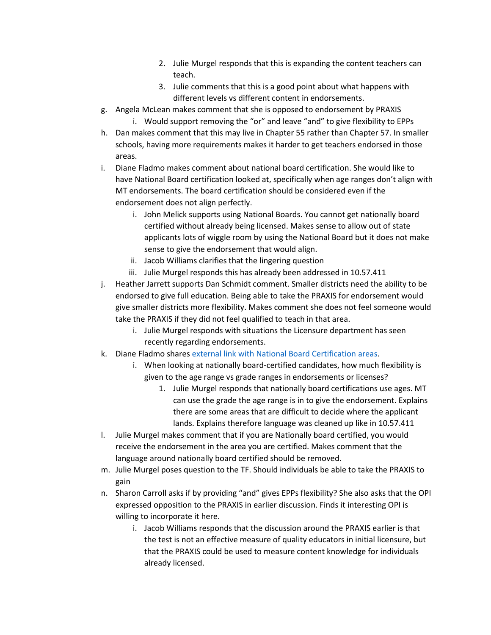- 2. Julie Murgel responds that this is expanding the content teachers can teach.
- 3. Julie comments that this is a good point about what happens with different levels vs different content in endorsements.
- g. Angela McLean makes comment that she is opposed to endorsement by PRAXIS
	- i. Would support removing the "or" and leave "and" to give flexibility to EPPs
- h. Dan makes comment that this may live in Chapter 55 rather than Chapter 57. In smaller schools, having more requirements makes it harder to get teachers endorsed in those areas.
- i. Diane Fladmo makes comment about national board certification. She would like to have National Board certification looked at, specifically when age ranges don't align with MT endorsements. The board certification should be considered even if the endorsement does not align perfectly.
	- i. John Melick supports using National Boards. You cannot get nationally board certified without already being licensed. Makes sense to allow out of state applicants lots of wiggle room by using the National Board but it does not make sense to give the endorsement that would align.
	- ii. Jacob Williams clarifies that the lingering question
	- iii. Julie Murgel responds this has already been addressed in 10.57.411
- j. Heather Jarrett supports Dan Schmidt comment. Smaller districts need the ability to be endorsed to give full education. Being able to take the PRAXIS for endorsement would give smaller districts more flexibility. Makes comment she does not feel someone would take the PRAXIS if they did not feel qualified to teach in that area.
	- i. Julie Murgel responds with situations the Licensure department has seen recently regarding endorsements.
- k. Diane Fladmo share[s external link with National Board Certification](https://www.nbpts.org/wp-content/uploads/Certification-Areas-1.pdf) areas.
	- i. When looking at nationally board-certified candidates, how much flexibility is given to the age range vs grade ranges in endorsements or licenses?
		- 1. Julie Murgel responds that nationally board certifications use ages. MT can use the grade the age range is in to give the endorsement. Explains there are some areas that are difficult to decide where the applicant lands. Explains therefore language was cleaned up like in 10.57.411
- l. Julie Murgel makes comment that if you are Nationally board certified, you would receive the endorsement in the area you are certified. Makes comment that the language around nationally board certified should be removed.
- m. Julie Murgel poses question to the TF. Should individuals be able to take the PRAXIS to gain
- n. Sharon Carroll asks if by providing "and" gives EPPs flexibility? She also asks that the OPI expressed opposition to the PRAXIS in earlier discussion. Finds it interesting OPI is willing to incorporate it here.
	- i. Jacob Williams responds that the discussion around the PRAXIS earlier is that the test is not an effective measure of quality educators in initial licensure, but that the PRAXIS could be used to measure content knowledge for individuals already licensed.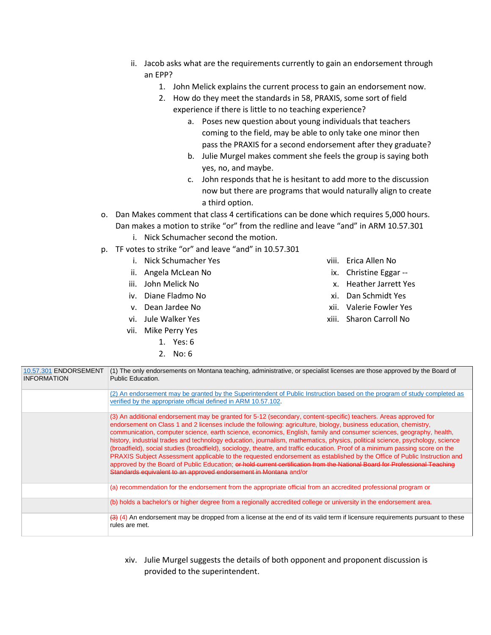- ii. Jacob asks what are the requirements currently to gain an endorsement through an EPP?
	- 1. John Melick explains the current process to gain an endorsement now.
	- 2. How do they meet the standards in 58, PRAXIS, some sort of field experience if there is little to no teaching experience?
		- a. Poses new question about young individuals that teachers coming to the field, may be able to only take one minor then pass the PRAXIS for a second endorsement after they graduate?
		- b. Julie Murgel makes comment she feels the group is saying both yes, no, and maybe.
		- c. John responds that he is hesitant to add more to the discussion now but there are programs that would naturally align to create a third option.
- o. Dan Makes comment that class 4 certifications can be done which requires 5,000 hours. Dan makes a motion to strike "or" from the redline and leave "and" in ARM 10.57.301 i. Nick Schumacher second the motion.
- p. TF votes to strike "or" and leave "and" in 10.57.301
	- i. Nick Schumacher Yes
	- ii. Angela McLean No
	- iii. John Melick No
	- iv. Diane Fladmo No
	- v. Dean Jardee No
	- vi. Jule Walker Yes
	- vii. Mike Perry Yes
		- 1. Yes: 6
		- 2. No: 6
- viii. Erica Allen No
- ix. Christine Eggar --
- x. Heather Jarrett Yes
- xi. Dan Schmidt Yes
- xii. Valerie Fowler Yes
- xiii. Sharon Carroll No

| 10.57.301 ENDORSEMENT<br><b>INFORMATION</b> | (1) The only endorsements on Montana teaching, administrative, or specialist licenses are those approved by the Board of<br>Public Education.                                                                                                                                                                                                                                                                                                                                                                                                                                                                                                                                                                                                                                                                                                                                                                                                                  |
|---------------------------------------------|----------------------------------------------------------------------------------------------------------------------------------------------------------------------------------------------------------------------------------------------------------------------------------------------------------------------------------------------------------------------------------------------------------------------------------------------------------------------------------------------------------------------------------------------------------------------------------------------------------------------------------------------------------------------------------------------------------------------------------------------------------------------------------------------------------------------------------------------------------------------------------------------------------------------------------------------------------------|
|                                             | (2) An endorsement may be granted by the Superintendent of Public Instruction based on the program of study completed as<br>verified by the appropriate official defined in ARM 10.57.102.                                                                                                                                                                                                                                                                                                                                                                                                                                                                                                                                                                                                                                                                                                                                                                     |
|                                             | (3) An additional endorsement may be granted for 5-12 (secondary, content-specific) teachers. Areas approved for<br>endorsement on Class 1 and 2 licenses include the following: agriculture, biology, business education, chemistry,<br>communication, computer science, earth science, economics, English, family and consumer sciences, geography, health,<br>history, industrial trades and technology education, journalism, mathematics, physics, political science, psychology, science<br>(broadfield), social studies (broadfield), sociology, theatre, and traffic education. Proof of a minimum passing score on the<br>PRAXIS Subject Assessment applicable to the requested endorsement as established by the Office of Public Instruction and<br>approved by the Board of Public Education; or hold current certification from the National Board for Professional Teaching<br>Standards equivalent to an approved endorsement in Montana and/or |
|                                             | (a) recommendation for the endorsement from the appropriate official from an accredited professional program or                                                                                                                                                                                                                                                                                                                                                                                                                                                                                                                                                                                                                                                                                                                                                                                                                                                |
|                                             | (b) holds a bachelor's or higher degree from a regionally accredited college or university in the endorsement area.                                                                                                                                                                                                                                                                                                                                                                                                                                                                                                                                                                                                                                                                                                                                                                                                                                            |
|                                             | $\left(3\right)$ (4) An endorsement may be dropped from a license at the end of its valid term if licensure requirements pursuant to these<br>rules are met.                                                                                                                                                                                                                                                                                                                                                                                                                                                                                                                                                                                                                                                                                                                                                                                                   |
|                                             |                                                                                                                                                                                                                                                                                                                                                                                                                                                                                                                                                                                                                                                                                                                                                                                                                                                                                                                                                                |

xiv. Julie Murgel suggests the details of both opponent and proponent discussion is provided to the superintendent.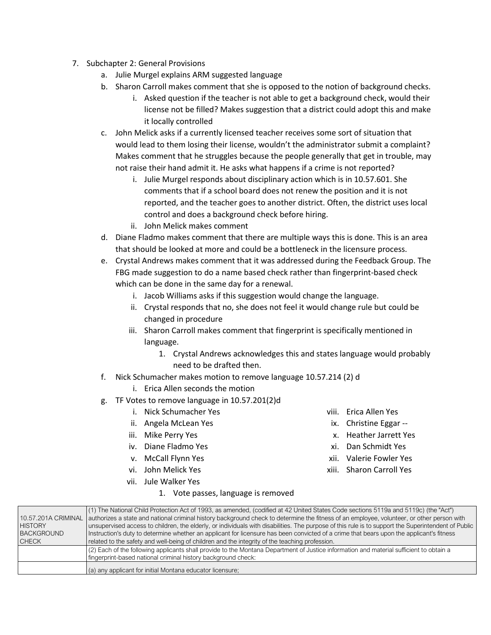- 7. Subchapter 2: General Provisions
	- a. Julie Murgel explains ARM suggested language
	- b. Sharon Carroll makes comment that she is opposed to the notion of background checks.
		- i. Asked question if the teacher is not able to get a background check, would their license not be filled? Makes suggestion that a district could adopt this and make it locally controlled
	- c. John Melick asks if a currently licensed teacher receives some sort of situation that would lead to them losing their license, wouldn't the administrator submit a complaint? Makes comment that he struggles because the people generally that get in trouble, may not raise their hand admit it. He asks what happens if a crime is not reported?
		- i. Julie Murgel responds about disciplinary action which is in 10.57.601. She comments that if a school board does not renew the position and it is not reported, and the teacher goes to another district. Often, the district uses local control and does a background check before hiring.
		- ii. John Melick makes comment
	- d. Diane Fladmo makes comment that there are multiple ways this is done. This is an area that should be looked at more and could be a bottleneck in the licensure process.
	- e. Crystal Andrews makes comment that it was addressed during the Feedback Group. The FBG made suggestion to do a name based check rather than fingerprint-based check which can be done in the same day for a renewal.
		- i. Jacob Williams asks if this suggestion would change the language.
		- ii. Crystal responds that no, she does not feel it would change rule but could be changed in procedure
		- iii. Sharon Carroll makes comment that fingerprint is specifically mentioned in language.
			- 1. Crystal Andrews acknowledges this and states language would probably need to be drafted then.
	- f. Nick Schumacher makes motion to remove language 10.57.214 (2) d
		- i. Erica Allen seconds the motion
	- g. TF Votes to remove language in 10.57.201(2)d
		- i. Nick Schumacher Yes
		- ii. Angela McLean Yes
		- iii. Mike Perry Yes
		- iv. Diane Fladmo Yes
		- v. McCall Flynn Yes
		- vi. John Melick Yes
		- vii. Jule Walker Yes

1. Vote passes, language is removed

- viii. Erica Allen Yes
- ix. Christine Eggar --
- x. Heather Jarrett Yes
- xi. Dan Schmidt Yes
- xii. Valerie Fowler Yes
- xiii. Sharon Carroll Yes

| 10.57.201A CRIMINAL | (1) The National Child Protection Act of 1993, as amended, (codified at 42 United States Code sections 5119a and 5119c) (the "Act")<br>authorizes a state and national criminal history background check to determine the fitness of an employee, volunteer, or other person with |
|---------------------|-----------------------------------------------------------------------------------------------------------------------------------------------------------------------------------------------------------------------------------------------------------------------------------|
| HISTORY             | unsupervised access to children, the elderly, or individuals with disabilities. The purpose of this rule is to support the Superintendent of Public                                                                                                                               |
| <b>BACKGROUND</b>   | Instruction's duty to determine whether an applicant for licensure has been convicted of a crime that bears upon the applicant's fitness                                                                                                                                          |
| CHECK               | related to the safety and well-being of children and the integrity of the teaching profession.                                                                                                                                                                                    |
|                     | (2) Each of the following applicants shall provide to the Montana Department of Justice information and material sufficient to obtain a                                                                                                                                           |
|                     | fingerprint-based national criminal history background check:                                                                                                                                                                                                                     |
|                     | (a) any applicant for initial Montana educator licensure;                                                                                                                                                                                                                         |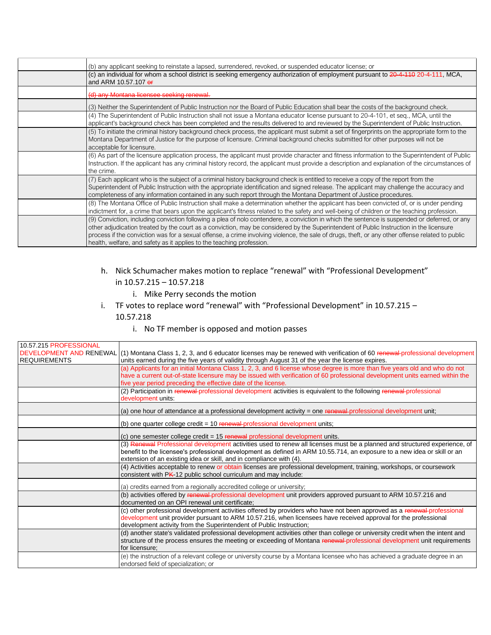| (b) any applicant seeking to reinstate a lapsed, surrendered, revoked, or suspended educator license; or                                                                                                                                                                                                                                                                                                                                                                                                              |
|-----------------------------------------------------------------------------------------------------------------------------------------------------------------------------------------------------------------------------------------------------------------------------------------------------------------------------------------------------------------------------------------------------------------------------------------------------------------------------------------------------------------------|
| (c) an individual for whom a school district is seeking emergency authorization of employment pursuant to 20-4-110 20-4-111, MCA,<br>and ARM 10.57.107 or                                                                                                                                                                                                                                                                                                                                                             |
| (d) any Montana licensee seeking renewal.                                                                                                                                                                                                                                                                                                                                                                                                                                                                             |
| (3) Neither the Superintendent of Public Instruction nor the Board of Public Education shall bear the costs of the background check.                                                                                                                                                                                                                                                                                                                                                                                  |
| (4) The Superintendent of Public Instruction shall not issue a Montana educator license pursuant to 20-4-101, et seq., MCA, until the<br>applicant's background check has been completed and the results delivered to and reviewed by the Superintendent of Public Instruction.                                                                                                                                                                                                                                       |
| (5) To initiate the criminal history background check process, the applicant must submit a set of fingerprints on the appropriate form to the<br>Montana Department of Justice for the purpose of licensure. Criminal background checks submitted for other purposes will not be<br>acceptable for licensure.                                                                                                                                                                                                         |
| (6) As part of the licensure application process, the applicant must provide character and fitness information to the Superintendent of Public<br>Instruction. If the applicant has any criminal history record, the applicant must provide a description and explanation of the circumstances of<br>the crime.                                                                                                                                                                                                       |
| (7) Each applicant who is the subject of a criminal history background check is entitled to receive a copy of the report from the<br>Superintendent of Public Instruction with the appropriate identification and signed release. The applicant may challenge the accuracy and<br>completeness of any information contained in any such report through the Montana Department of Justice procedures.                                                                                                                  |
| (8) The Montana Office of Public Instruction shall make a determination whether the applicant has been convicted of, or is under pending<br>indictment for, a crime that bears upon the applicant's fitness related to the safety and well-being of children or the teaching profession.                                                                                                                                                                                                                              |
| (9) Conviction, including conviction following a plea of nolo contendere, a conviction in which the sentence is suspended or deferred, or any<br>other adjudication treated by the court as a conviction, may be considered by the Superintendent of Public Instruction in the licensure<br>process if the conviction was for a sexual offense, a crime involving violence, the sale of drugs, theft, or any other offense related to public<br>health, welfare, and safety as it applies to the teaching profession. |

## h. Nick Schumacher makes motion to replace "renewal" with "Professional Development" in 10.57.215 – 10.57.218

- i. Mike Perry seconds the motion
- i. TF votes to replace word "renewal" with "Professional Development" in 10.57.215 -

10.57.218

## i. No TF member is opposed and motion passes

| 10.57.215 PROFESSIONAL |                                                                                                                                                                    |
|------------------------|--------------------------------------------------------------------------------------------------------------------------------------------------------------------|
|                        | DEVELOPMENT AND RENEWAL (1) Montana Class 1, 2, 3, and 6 educator licenses may be renewed with verification of 60 renewal professional development                 |
| <b>IREQUIREMENTS</b>   | units earned during the five years of validity through August 31 of the year the license expires.                                                                  |
|                        | (a) Applicants for an initial Montana Class 1, 2, 3, and 6 license whose degree is more than five years old and who do not                                         |
|                        | have a current out-of-state licensure may be issued with verification of 60 professional development units earned within the                                       |
|                        | five year period preceding the effective date of the license.                                                                                                      |
|                        | (2) Participation in renewal-professional development activities is equivalent to the following renewal-professional                                               |
|                        | development units:                                                                                                                                                 |
|                        | (a) one hour of attendance at a professional development activity = one renewal-professional development unit;                                                     |
|                        | (b) one quarter college credit = $10$ renewal-professional development units;                                                                                      |
|                        | (c) one semester college credit = 15 renewal professional development units.                                                                                       |
|                        | (3) Renewal Professional development activities used to renew all licenses must be a planned and structured experience, of                                         |
|                        | benefit to the licensee's professional development as defined in ARM 10.55.714, an exposure to a new idea or skill or an                                           |
|                        | extension of an existing idea or skill, and in compliance with (4).                                                                                                |
|                        | (4) Activities acceptable to renew or obtain licenses are professional development, training, workshops, or coursework                                             |
|                        | consistent with PK-12 public school curriculum and may include:                                                                                                    |
|                        | (a) credits earned from a regionally accredited college or university;                                                                                             |
|                        | (b) activities offered by renewal professional development unit providers approved pursuant to ARM 10.57.216 and<br>documented on an OPI renewal unit certificate: |
|                        | (c) other professional development activities offered by providers who have not been approved as a renewal-professional                                            |
|                        | development unit provider pursuant to ARM 10.57.216, when licensees have received approval for the professional                                                    |
|                        | development activity from the Superintendent of Public Instruction;                                                                                                |
|                        | (d) another state's validated professional development activities other than college or university credit when the intent and                                      |
|                        | structure of the process ensures the meeting or exceeding of Montana renewal-professional development unit requirements                                            |
|                        | for licensure:                                                                                                                                                     |
|                        | (e) the instruction of a relevant college or university course by a Montana licensee who has achieved a graduate degree in an                                      |
|                        | endorsed field of specialization; or                                                                                                                               |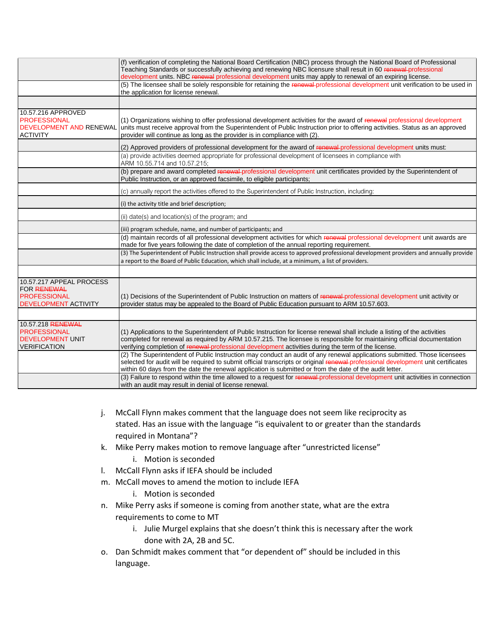|                                                                                                | (f) verification of completing the National Board Certification (NBC) process through the National Board of Professional<br>Teaching Standards or successfully achieving and renewing NBC licensure shall result in 60 renewal-professional<br>development units. NBC renewal professional development units may apply to renewal of an expiring license.                |
|------------------------------------------------------------------------------------------------|--------------------------------------------------------------------------------------------------------------------------------------------------------------------------------------------------------------------------------------------------------------------------------------------------------------------------------------------------------------------------|
|                                                                                                | (5) The licensee shall be solely responsible for retaining the renewal-professional development unit verification to be used in<br>the application for license renewal.                                                                                                                                                                                                  |
|                                                                                                |                                                                                                                                                                                                                                                                                                                                                                          |
| 10.57.216 APPROVED<br><b>PROFESSIONAL</b><br><b>DEVELOPMENT AND RENEWAL</b><br><b>ACTIVITY</b> | (1) Organizations wishing to offer professional development activities for the award of renewal professional development<br>units must receive approval from the Superintendent of Public Instruction prior to offering activities. Status as an approved<br>provider will continue as long as the provider is in compliance with (2).                                   |
|                                                                                                | (2) Approved providers of professional development for the award of renewal-professional development units must:                                                                                                                                                                                                                                                         |
|                                                                                                | (a) provide activities deemed appropriate for professional development of licensees in compliance with<br>ARM 10.55.714 and 10.57.215;                                                                                                                                                                                                                                   |
|                                                                                                | (b) prepare and award completed renewal-professional development unit certificates provided by the Superintendent of<br>Public Instruction, or an approved facsimile, to eligible participants;                                                                                                                                                                          |
|                                                                                                | (c) annually report the activities offered to the Superintendent of Public Instruction, including:                                                                                                                                                                                                                                                                       |
|                                                                                                | (i) the activity title and brief description;                                                                                                                                                                                                                                                                                                                            |
|                                                                                                | (ii) date(s) and location(s) of the program; and                                                                                                                                                                                                                                                                                                                         |
|                                                                                                | (iii) program schedule, name, and number of participants; and                                                                                                                                                                                                                                                                                                            |
|                                                                                                | (d) maintain records of all professional development activities for which renewal professional development unit awards are<br>made for five years following the date of completion of the annual reporting requirement.                                                                                                                                                  |
|                                                                                                | (3) The Superintendent of Public Instruction shall provide access to approved professional development providers and annually provide<br>a report to the Board of Public Education, which shall include, at a minimum, a list of providers.                                                                                                                              |
|                                                                                                |                                                                                                                                                                                                                                                                                                                                                                          |
| 10.57.217 APPEAL PROCESS<br>FOR RENEWAL                                                        |                                                                                                                                                                                                                                                                                                                                                                          |
| <b>PROFESSIONAL</b><br><b>DEVELOPMENT ACTIVITY</b>                                             | (1) Decisions of the Superintendent of Public Instruction on matters of renewal-professional development unit activity or<br>provider status may be appealed to the Board of Public Education pursuant to ARM 10.57.603.                                                                                                                                                 |
|                                                                                                |                                                                                                                                                                                                                                                                                                                                                                          |
| 10.57.218 RENEWAL                                                                              |                                                                                                                                                                                                                                                                                                                                                                          |
| <b>PROFESSIONAL</b><br><b>DEVELOPMENT UNIT</b><br><b>VERIFICATION</b>                          | (1) Applications to the Superintendent of Public Instruction for license renewal shall include a listing of the activities<br>completed for renewal as required by ARM 10.57.215. The licensee is responsible for maintaining official documentation<br>verifying completion of renewal-professional development activities during the term of the license.              |
|                                                                                                | (2) The Superintendent of Public Instruction may conduct an audit of any renewal applications submitted. Those licensees<br>selected for audit will be required to submit official transcripts or original renewal-professional development unit certificates<br>within 60 days from the date the renewal application is submitted or from the date of the audit letter. |
|                                                                                                | (3) Failure to respond within the time allowed to a request for renewal-professional development unit activities in connection<br>with an audit may result in denial of license renewal.                                                                                                                                                                                 |

- j. McCall Flynn makes comment that the language does not seem like reciprocity as stated. Has an issue with the language "is equivalent to or greater than the standards required in Montana"?
- k. Mike Perry makes motion to remove language after "unrestricted license"
	- i. Motion is seconded
- l. McCall Flynn asks if IEFA should be included
- m. McCall moves to amend the motion to include IEFA
	- i. Motion is seconded
- n. Mike Perry asks if someone is coming from another state, what are the extra requirements to come to MT
	- i. Julie Murgel explains that she doesn't think this is necessary after the work done with 2A, 2B and 5C.
- o. Dan Schmidt makes comment that "or dependent of" should be included in this language.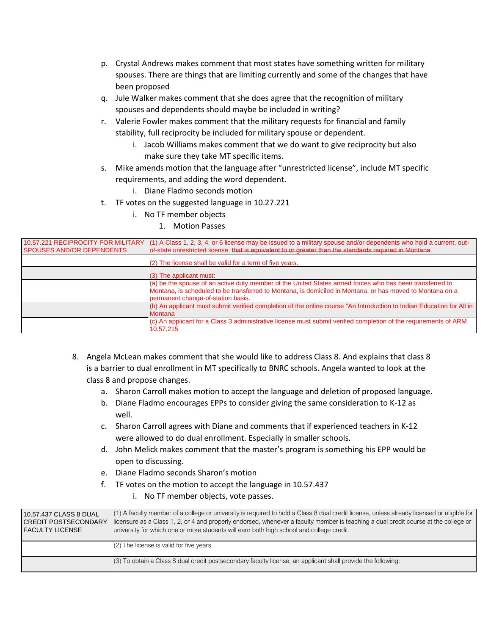- p. Crystal Andrews makes comment that most states have something written for military spouses. There are things that are limiting currently and some of the changes that have been proposed
- q. Jule Walker makes comment that she does agree that the recognition of military spouses and dependents should maybe be included in writing?
- r. Valerie Fowler makes comment that the military requests for financial and family stability, full reciprocity be included for military spouse or dependent.
	- i. Jacob Williams makes comment that we do want to give reciprocity but also make sure they take MT specific items.
- s. Mike amends motion that the language after "unrestricted license", include MT specific requirements, and adding the word dependent.
	- i. Diane Fladmo seconds motion
- t. TF votes on the suggested language in 10.27.221
	- i. No TF member objects
		- 1. Motion Passes

| SPOUSES AND/OR DEPENDENTS | 10.57.221 RECIPROCITY FOR MILITARY (1) A Class 1, 2, 3, 4, or 6 license may be issued to a military spouse and/or dependents who hold a current, out-<br>of-state unrestricted license, that is equivalent to or greater than the standards required in Montana |
|---------------------------|-----------------------------------------------------------------------------------------------------------------------------------------------------------------------------------------------------------------------------------------------------------------|
|                           | (2) The license shall be valid for a term of five years.                                                                                                                                                                                                        |
|                           | $(3)$ The applicant must:                                                                                                                                                                                                                                       |
|                           | (a) be the spouse of an active duty member of the United States armed forces who has been transferred to<br>Montana, is scheduled to be transferred to Montana, is domiciled in Montana, or has moved to Montana on a<br>permanent change-of-station basis.     |
|                           | (b) An applicant must submit verified completion of the online course "An Introduction to Indian Education for All in<br><b>Montana</b>                                                                                                                         |
|                           | (c) An applicant for a Class 3 administrative license must submit verified completion of the requirements of ARM<br>10.57.215                                                                                                                                   |

- 8. Angela McLean makes comment that she would like to address Class 8. And explains that class 8 is a barrier to dual enrollment in MT specifically to BNRC schools. Angela wanted to look at the class 8 and propose changes.
	- a. Sharon Carroll makes motion to accept the language and deletion of proposed language.
	- b. Diane Fladmo encourages EPPs to consider giving the same consideration to K-12 as well.
	- c. Sharon Carroll agrees with Diane and comments that if experienced teachers in K-12 were allowed to do dual enrollment. Especially in smaller schools.
	- d. John Melick makes comment that the master's program is something his EPP would be open to discussing.
	- e. Diane Fladmo seconds Sharon's motion
	- f. TF votes on the motion to accept the language in 10.57.437
		- i. No TF member objects, vote passes.

| 10.57.437 CLASS 8 DUAL<br>I CREDIT POSTSECONDARY<br>I FACULTY LICENSE | (1) A faculty member of a college or university is required to hold a Class 8 dual credit license, unless already licensed or eligible for<br>licensure as a Class 1, 2, or 4 and properly endorsed, whenever a faculty member is teaching a dual credit course at the college or<br>university for which one or more students will earn both high school and college credit. |
|-----------------------------------------------------------------------|-------------------------------------------------------------------------------------------------------------------------------------------------------------------------------------------------------------------------------------------------------------------------------------------------------------------------------------------------------------------------------|
|                                                                       | $(2)$ The license is valid for five years.                                                                                                                                                                                                                                                                                                                                    |
|                                                                       | (3) To obtain a Class 8 dual credit postsecondary faculty license, an applicant shall provide the following:                                                                                                                                                                                                                                                                  |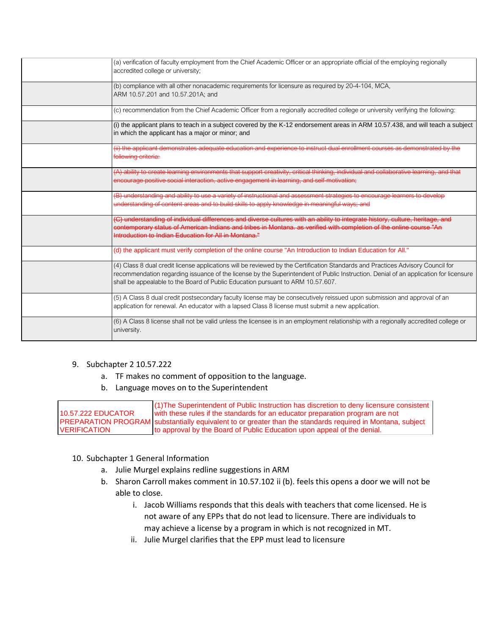| (a) verification of faculty employment from the Chief Academic Officer or an appropriate official of the employing regionally<br>accredited college or university;                                                                                                                                                                                         |
|------------------------------------------------------------------------------------------------------------------------------------------------------------------------------------------------------------------------------------------------------------------------------------------------------------------------------------------------------------|
| (b) compliance with all other nonacademic requirements for licensure as required by 20-4-104, MCA,<br>ARM 10.57.201 and 10.57.201A; and                                                                                                                                                                                                                    |
| (c) recommendation from the Chief Academic Officer from a regionally accredited college or university verifying the following:                                                                                                                                                                                                                             |
| (i) the applicant plans to teach in a subject covered by the K-12 endorsement areas in ARM 10.57.438, and will teach a subject<br>in which the applicant has a major or minor; and                                                                                                                                                                         |
| (ii) the applicant demonstrates adequate education and experience to instruct dual enrollment courses as demonstrated by the<br>following criteria:                                                                                                                                                                                                        |
| (A) ability to create learning environments that support creativity, critical thinking, individual and collaborative learning, and that<br>encourage positive social interaction, active engagement in learning, and self-motivation;                                                                                                                      |
| (B) understanding and ability to use a variety of instructional and assessment strategies to encourage learners to develop<br>understanding of content areas and to build skills to apply knowledge in meaningful ways; and                                                                                                                                |
| (C) understanding of individual differences and diverse cultures with an ability to integrate history, culture, heritage, and<br>contemporary status of American Indians and tribes in Montana, as verified with completion of the online course "An<br>Introduction to Indian Education for All in Montana."                                              |
| (d) the applicant must verify completion of the online course "An Introduction to Indian Education for All."                                                                                                                                                                                                                                               |
| (4) Class 8 dual credit license applications will be reviewed by the Certification Standards and Practices Advisory Council for<br>recommendation regarding issuance of the license by the Superintendent of Public Instruction. Denial of an application for licensure<br>shall be appealable to the Board of Public Education pursuant to ARM 10.57.607. |
| (5) A Class 8 dual credit postsecondary faculty license may be consecutively reissued upon submission and approval of an<br>application for renewal. An educator with a lapsed Class 8 license must submit a new application.                                                                                                                              |
| (6) A Class 8 license shall not be valid unless the licensee is in an employment relationship with a regionally accredited college or<br>university.                                                                                                                                                                                                       |

### 9. Subchapter 2 10.57.222

- a. TF makes no comment of opposition to the language.
- b. Language moves on to the Superintendent

10.57.222 EDUCATOR PREPARATION PROGRAM substantially equivalent to or greater than the standards required in Montana, subject VERIFICATION (1)The Superintendent of Public Instruction has discretion to deny licensure consistent with these rules if the standards for an educator preparation program are not to approval by the Board of Public Education upon appeal of the denial.

### 10. Subchapter 1 General Information

- a. Julie Murgel explains redline suggestions in ARM
- b. Sharon Carroll makes comment in 10.57.102 ii (b). feels this opens a door we will not be able to close.
	- i. Jacob Williams responds that this deals with teachers that come licensed. He is not aware of any EPPs that do not lead to licensure. There are individuals to may achieve a license by a program in which is not recognized in MT.
	- ii. Julie Murgel clarifies that the EPP must lead to licensure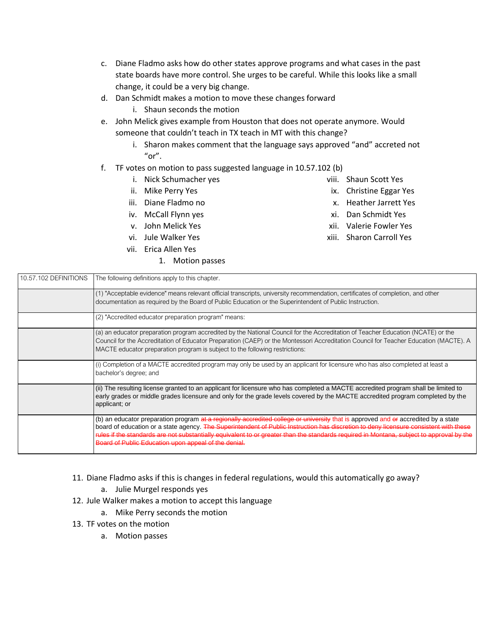- c. Diane Fladmo asks how do other states approve programs and what cases in the past state boards have more control. She urges to be careful. While this looks like a small change, it could be a very big change.
- d. Dan Schmidt makes a motion to move these changes forward
	- i. Shaun seconds the motion
- e. John Melick gives example from Houston that does not operate anymore. Would someone that couldn't teach in TX teach in MT with this change?
	- i. Sharon makes comment that the language says approved "and" accreted not "or".
- f. TF votes on motion to pass suggested language in 10.57.102 (b)
	- i. Nick Schumacher yes
	- ii. Mike Perry Yes
	- iii. Diane Fladmo no
	- iv. McCall Flynn yes
	- v. John Melick Yes
	- vi. Jule Walker Yes
	- vii. Erica Allen Yes
		- 1. Motion passes
- viii. Shaun Scott Yes
- ix. Christine Eggar Yes
- x. Heather Jarrett Yes
- xi. Dan Schmidt Yes
- xii. Valerie Fowler Yes
- xiii. Sharon Carroll Yes

| (1) "Acceptable evidence" means relevant official transcripts, university recommendation, certificates of completion, and other                                                                                                                                                                                                                                                                                         |
|-------------------------------------------------------------------------------------------------------------------------------------------------------------------------------------------------------------------------------------------------------------------------------------------------------------------------------------------------------------------------------------------------------------------------|
|                                                                                                                                                                                                                                                                                                                                                                                                                         |
|                                                                                                                                                                                                                                                                                                                                                                                                                         |
|                                                                                                                                                                                                                                                                                                                                                                                                                         |
|                                                                                                                                                                                                                                                                                                                                                                                                                         |
| (a) an educator preparation program accredited by the National Council for the Accreditation of Teacher Education (NCATE) or the                                                                                                                                                                                                                                                                                        |
| Council for the Accreditation of Educator Preparation (CAEP) or the Montessori Accreditation Council for Teacher Education (MACTE). A                                                                                                                                                                                                                                                                                   |
|                                                                                                                                                                                                                                                                                                                                                                                                                         |
| (i) Completion of a MACTE accredited program may only be used by an applicant for licensure who has also completed at least a                                                                                                                                                                                                                                                                                           |
| (ii) The resulting license granted to an applicant for licensure who has completed a MACTE accredited program shall be limited to<br>early grades or middle grades licensure and only for the grade levels covered by the MACTE accredited program completed by the                                                                                                                                                     |
| (b) an educator preparation program at a regionally accredited college or university that is approved and er accredited by a state<br>board of education or a state agency. The Superintendent of Public Instruction has discretion to deny licensure consistent with these<br>rules if the standards are not substantially equivalent to or greater than the standards required in Montana, subject to approval by the |
|                                                                                                                                                                                                                                                                                                                                                                                                                         |

- 11. Diane Fladmo asks if this is changes in federal regulations, would this automatically go away?
	- a. Julie Murgel responds yes
- 12. Jule Walker makes a motion to accept this language
	- a. Mike Perry seconds the motion
- 13. TF votes on the motion
	- a. Motion passes